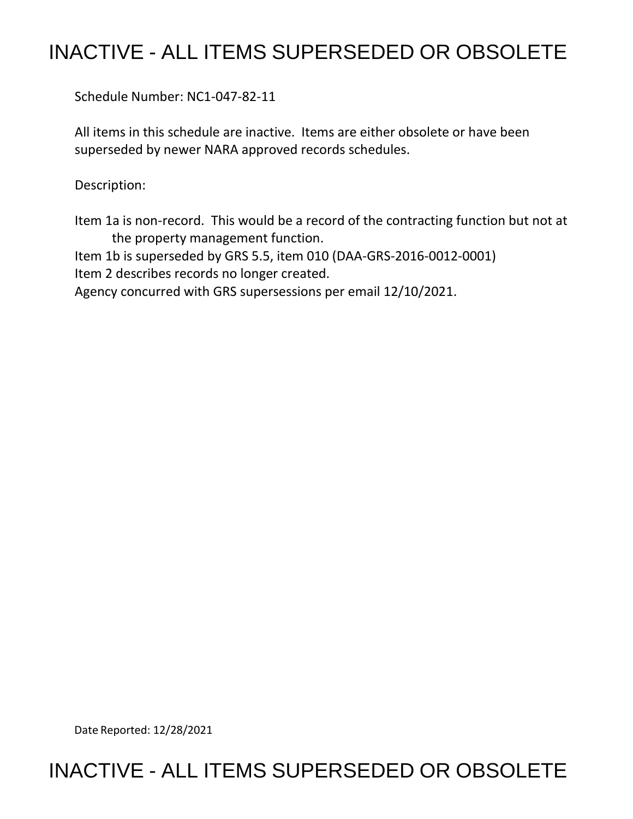# INACTIVE - ALL ITEMS SUPERSEDED OR OBSOLETE

Schedule Number: NC1-047-82-11

 All items in this schedule are inactive. Items are either obsolete or have been superseded by newer NARA approved records schedules.

Description:

 Item 1a is non-record. This would be a record of the contracting function but not at the property management function.

 Item 1b is superseded by GRS 5.5, item 010 (DAA-GRS-2016-0012-0001) Item 2 describes records no longer created.

Agency concurred with GRS supersessions per email 12/10/2021.

Date Reported: 12/28/2021

## INACTIVE - ALL ITEMS SUPERSEDED OR OBSOLETE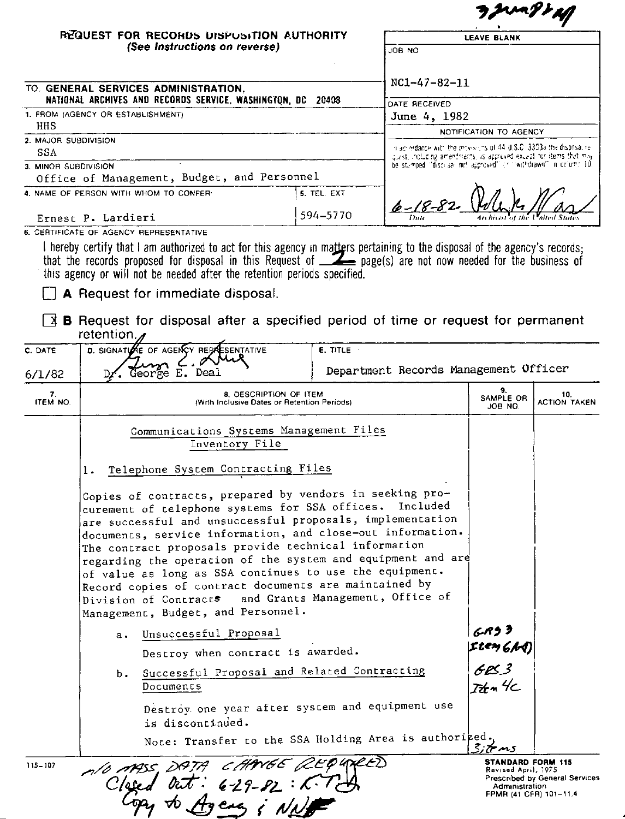|                      |                                                                                                                                                                                                                                                                                                                                                                                                                                                                                                                                                     |                                                                       |                                                                                                                                           | Junyr H                           |              |  |
|----------------------|-----------------------------------------------------------------------------------------------------------------------------------------------------------------------------------------------------------------------------------------------------------------------------------------------------------------------------------------------------------------------------------------------------------------------------------------------------------------------------------------------------------------------------------------------------|-----------------------------------------------------------------------|-------------------------------------------------------------------------------------------------------------------------------------------|-----------------------------------|--------------|--|
|                      | REQUEST FOR RECOHDS DISPUSITION AUTHORITY                                                                                                                                                                                                                                                                                                                                                                                                                                                                                                           |                                                                       |                                                                                                                                           | <b>LEAVE BLANK</b>                |              |  |
|                      | (See Instructions on reverse)                                                                                                                                                                                                                                                                                                                                                                                                                                                                                                                       |                                                                       | JOB NO                                                                                                                                    |                                   |              |  |
|                      |                                                                                                                                                                                                                                                                                                                                                                                                                                                                                                                                                     |                                                                       |                                                                                                                                           |                                   |              |  |
|                      | TO. GENERAL SERVICES ADMINISTRATION,<br>NATIONAL ARCHIVES AND RECORDS SERVICE, WASHINGTON, DC 20408<br>1. FROM (AGENCY OR ESTABLISHMENT)                                                                                                                                                                                                                                                                                                                                                                                                            |                                                                       | $NC1 - 47 - 82 - 11$<br>DATE RECEIVED<br>June 4, 1982                                                                                     |                                   |              |  |
|                      |                                                                                                                                                                                                                                                                                                                                                                                                                                                                                                                                                     |                                                                       |                                                                                                                                           |                                   |              |  |
| HHS                  |                                                                                                                                                                                                                                                                                                                                                                                                                                                                                                                                                     |                                                                       |                                                                                                                                           | NOTIFICATION TO AGENCY            |              |  |
| 2. MAJOR SUBDIVISION |                                                                                                                                                                                                                                                                                                                                                                                                                                                                                                                                                     |                                                                       |                                                                                                                                           |                                   |              |  |
| SSA                  |                                                                                                                                                                                                                                                                                                                                                                                                                                                                                                                                                     |                                                                       | n acredance with the provisions of 44 U.S.C. 3303a the disposal re-<br>quest, including amendments, is approved exunpt for items that may |                                   |              |  |
| 3. MINOR SUBDIVISION |                                                                                                                                                                                                                                                                                                                                                                                                                                                                                                                                                     |                                                                       | be stumped "discusal nut approved" or "withdrawn" in column 10.                                                                           |                                   |              |  |
|                      | Office of Management, Budget, and Personnel                                                                                                                                                                                                                                                                                                                                                                                                                                                                                                         |                                                                       |                                                                                                                                           |                                   |              |  |
|                      | 4. NAME OF PERSON WITH WHOM TO CONFER-                                                                                                                                                                                                                                                                                                                                                                                                                                                                                                              | 5. TEL. EXT                                                           | lo ~ 18-8                                                                                                                                 |                                   |              |  |
|                      | Ernest P. Lardieri                                                                                                                                                                                                                                                                                                                                                                                                                                                                                                                                  | 594-5770                                                              |                                                                                                                                           |                                   |              |  |
| C. DATE              | retention.<br>D. SIGNATI<br><b>SENTATIVE</b><br>IE OF AGENCY REPA                                                                                                                                                                                                                                                                                                                                                                                                                                                                                   | $E.$ TITLE $\cdot$                                                    |                                                                                                                                           |                                   |              |  |
| 6/1/82               |                                                                                                                                                                                                                                                                                                                                                                                                                                                                                                                                                     |                                                                       | Department Records Management Officer                                                                                                     |                                   |              |  |
|                      |                                                                                                                                                                                                                                                                                                                                                                                                                                                                                                                                                     |                                                                       |                                                                                                                                           | 9.                                | 10.          |  |
| 7.<br><b>ITEM NO</b> |                                                                                                                                                                                                                                                                                                                                                                                                                                                                                                                                                     | 8. DESCRIPTION OF ITEM<br>(With Inclusive Dates or Retention Periods) |                                                                                                                                           | SAMPLE OR<br>JOB NO.              | ACTION TAKEN |  |
|                      | Communications Systems Management Files<br>Inventory File                                                                                                                                                                                                                                                                                                                                                                                                                                                                                           |                                                                       |                                                                                                                                           |                                   |              |  |
|                      | Telephone System Contracting Files<br>1.                                                                                                                                                                                                                                                                                                                                                                                                                                                                                                            |                                                                       |                                                                                                                                           |                                   |              |  |
|                      | Copies of contracts, prepared by vendors in seeking pro-<br>curement of telephone systems for SSA offices. Included<br>are successful and unsuccessful proposals, implementation<br>documents, service information, and close-out information.<br>The contract proposals provide technical information<br>regarding the operation of the system and equipment and are<br>of value as long as SSA continues to use the equipment.<br>Record copies of contract documents are maintained by<br>Division of Contracts and Grants Management, Office of |                                                                       |                                                                                                                                           |                                   |              |  |
|                      | Management, Budget, and Personnel.<br>Unsuccessful Proposal<br>$a \cdot$                                                                                                                                                                                                                                                                                                                                                                                                                                                                            |                                                                       |                                                                                                                                           | <sub>G-</sub> RJ I<br> Lten 6/hA) |              |  |

| ь. |           |  | Successful Proposal and Related Contracting |  |
|----|-----------|--|---------------------------------------------|--|
|    | Documents |  |                                             |  |

Destroy one year after system and equipment use is discontinued.

note: Transfer to the SSA Holding Area is authorized.

 $A$ /0  $ARSS$ ,  $DPTA$  $2$ t P 4 NGE2) 115-107 76C V E EA Clase  $6 - 29 - 82 : 6$ caa iNs

**STANDARD FORM 115**<br>Revised April, 1975<br>Prescribed by General Services Administration<br>FPMR (41 CFR) 101-11.4

 $683$ Item 4c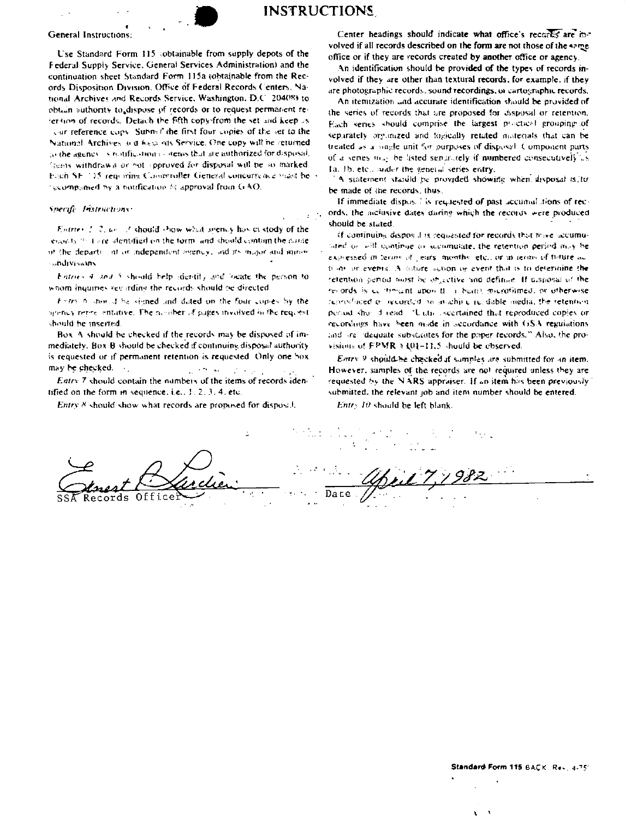

## **INSTRUCTIONS**

#### General Instructions:

Use Standard Form 115 (obtainable from supply depots of the Federal Suppiy Service, General Services Administration) and the continuation sheet Standard Form 115a (obtainable from the Records Disposition Division. Office of Federal Records Centers. National Archives and Records Service, Washington, D.C. 20408) to obtain authority to dispose of records or to request permanent retermon of records. Detach the fifth copy-from the set and keep as car reference copy. Submit the first four copies of the set to the National Archives and historics Service. One copy will be returned to the agency is restifications obtens that are authorized for disposal. lients withdrawn or not opproved for disposal will be so marked. Fisch SE 115 requiring Comproflet General concurrence mast be recompanied by a nonfication by approval from GAO.

### Specife Instructions:

Entries 2, 2, use of should show what seemsy has custody of the enants 20 dore dentified on the form, and should contain the name of the depart), at or independent seemsy, and its major and announ **andivisions** 

Entries 4 and 5 should help identify and 'neate the person to whom inquiries vecarding the records should be directed

Firm 6 monal be signed and dated on the four copies by the severity repressentative. The nomber of pages involved in the request should be inserted.

Box A should be checked if the records may be disposed of immediately. Box B should be checked if continuing disposal authority is requested or if permanent retention is requested. Only one box may be checked.  $\chi_1 \approx 200$  and  $\mathcal{P} \times \mathcal{P}$ 

Entry 7 should contain the numbers of the items of records identified on the form in sequence, i.e.,  $1, 2, 3, 4$ , etc.

Entry 8 should show what records are proposed for disposal.

Center headings should indicate what office's records are involved if all records described on the form are not those of the same office or if they are records created by another office or agency.

An identification should be provided of the types of records involved if they are other than textural records, for example, if they are photographic records, sound recordings, or cartographic records,

An itemization and accurate identification should be provided of the series of records that are proposed for disposal or retention. Each series should comprise the largest proctical grouping of separately organized and togically retated materials that can be treated as a single unit for purposes of disposal. Component parts of a series may be isted separately if numbered consecutively as Ia. 1b, etc., suder the general series entry,

A statement stabild be provided showing when disposal is to be made of the records, thus,

If immediate dispose is requested of past accumulations of records, the inclusive dates during which the records were produced should be stated.

If continuing disposal is requested for records that mive accumulated to will continue or scenmulate, the retention period may be expressed in terms of lears months etc., or in economic forure actions on events. A diffure surion or event that is to determine the retention period most be objective and definite. If disposal of the records is centiment apon than beaut, merofilmed, or otherwise reproduced or recorded to intachine recitable media, the retention period show doread. "Unitis iscertained that reproduced copies or recordings have been made in accordance with GSA regulations and are idequate substantes for the paper tecords," Also, the provisions of FPMR > 101-11.5 should be observed.

Entry 9 should be checked if samples are submitted for an item. However, samples of the records are not required unless they are requested by the NARS appraiser. If an item has been previously submitted, the relevant job and item number should be entered.

Entr5 10 should be left blank.

Records